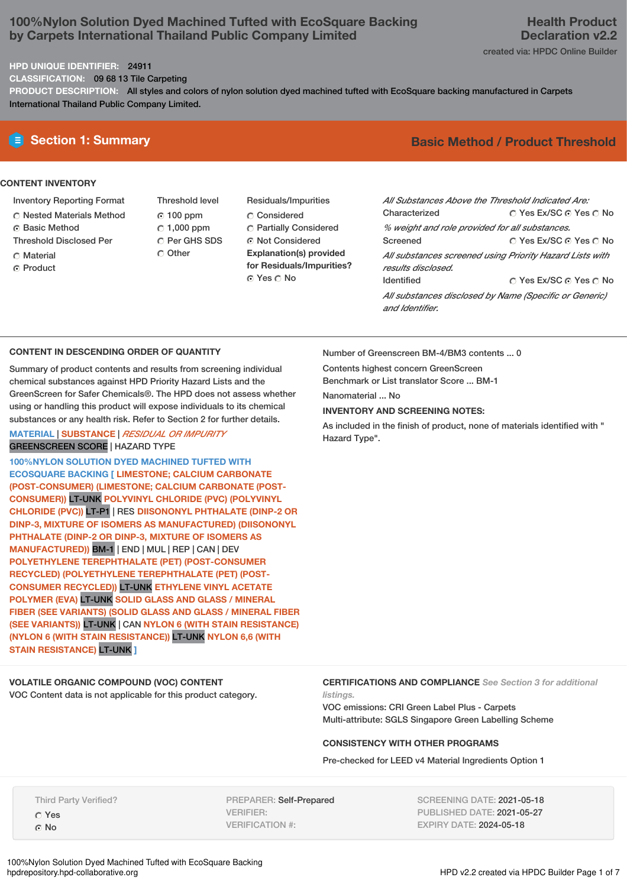# **100%Nylon Solution Dyed Machined Tufted with EcoSquare Backing by Carpets International Thailand Public Company Limited**

#### **HPD UNIQUE IDENTIFIER:** 24911

**CLASSIFICATION:** 09 68 13 Tile Carpeting

**PRODUCT DESCRIPTION:** All styles and colors of nylon solution dyed machined tufted with EcoSquare backing manufactured in Carpets International Thailand Public Company Limited.

### **CONTENT INVENTORY**

- Inventory Reporting Format
- Nested Materials Method
- ⊙ Basic Method
- Threshold Disclosed Per
- C Material
- ⊙ Product

Threshold level 100 ppm

Other

- $\degree$  1,000 ppm C Per GHS SDS
- Residuals/Impurities Considered Partially Considered Not Considered **Explanation(s) provided for Residuals/Impurities?** © Yes ∩ No

# **E** Section 1: Summary **Basic Method /** Product Threshold

| All Substances Above the Threshold Indicated Are:        |                        |  |  |
|----------------------------------------------------------|------------------------|--|--|
| Characterized                                            | ∩ Yes Ex/SC ∩ Yes ∩ No |  |  |
| % weight and role provided for all substances.           |                        |  |  |
| Screened                                                 | ∩ Yes Ex/SC ⊙ Yes ∩ No |  |  |
| All substances screened using Priority Hazard Lists with |                        |  |  |
| results disclosed.                                       |                        |  |  |
| <b>Identified</b>                                        | ∩ Yes Ex/SC ∩ Yes ∩ No |  |  |
| All substances disclosed by Name (Specific or Generic)   |                        |  |  |
| and Identifier.                                          |                        |  |  |

# **CONTENT IN DESCENDING ORDER OF QUANTITY**

Summary of product contents and results from screening individual chemical substances against HPD Priority Hazard Lists and the GreenScreen for Safer Chemicals®. The HPD does not assess whether using or handling this product will expose individuals to its chemical substances or any health risk. Refer to Section 2 for further details.

## **MATERIAL** | **SUBSTANCE** | *RESIDUAL OR IMPURITY* GREENSCREEN SCORE | HAZARD TYPE

**100%NYLON SOLUTION DYED MACHINED TUFTED WITH ECOSQUARE BACKING [ LIMESTONE; CALCIUM CARBONATE (POST-CONSUMER) (LIMESTONE; CALCIUM CARBONATE (POST-CONSUMER))** LT-UNK **POLYVINYL CHLORIDE (PVC) (POLYVINYL CHLORIDE (PVC))** LT-P1 | RES **DIISONONYL PHTHALATE (DINP-2 OR DINP-3, MIXTURE OF ISOMERS AS MANUFACTURED) (DIISONONYL PHTHALATE (DINP-2 OR DINP-3, MIXTURE OF ISOMERS AS MANUFACTURED))** BM-1 | END | MUL | REP | CAN | DEV **POLYETHYLENE TEREPHTHALATE (PET) (POST-CONSUMER RECYCLED) (POLYETHYLENE TEREPHTHALATE (PET) (POST-CONSUMER RECYCLED))** LT-UNK **ETHYLENE VINYL ACETATE POLYMER (EVA)** LT-UNK **SOLID GLASS AND GLASS / MINERAL FIBER (SEE VARIANTS) (SOLID GLASS AND GLASS / MINERAL FIBER (SEE VARIANTS))** LT-UNK | CAN **NYLON 6 (WITH STAIN RESISTANCE) (NYLON 6 (WITH STAIN RESISTANCE))** LT-UNK **NYLON 6,6 (WITH STAIN RESISTANCE)** LT-UNK **]**

**VOLATILE ORGANIC COMPOUND (VOC) CONTENT** VOC Content data is not applicable for this product category. Number of Greenscreen BM-4/BM3 contents ... 0

Contents highest concern GreenScreen

Benchmark or List translator Score ... BM-1

Nanomaterial ... No

# **INVENTORY AND SCREENING NOTES:**

As included in the finish of product, none of materials identified with " Hazard Type".

#### **CERTIFICATIONS AND COMPLIANCE** *See Section 3 for additional listings.*

VOC emissions: CRI Green Label Plus - Carpets Multi-attribute: SGLS Singapore Green Labelling Scheme

## **CONSISTENCY WITH OTHER PROGRAMS**

Pre-checked for LEED v4 Material Ingredients Option 1

Third Party Verified? Yes G No

PREPARER: Self-Prepared VERIFIER: VERIFICATION #:

SCREENING DATE: 2021-05-18 PUBLISHED DATE: 2021-05-27 EXPIRY DATE: 2024-05-18

100%Nylon Solution Dyed Machined Tufted with EcoSquare Backing

HPD v2.2 created via HPDC Builder Page 1 of 7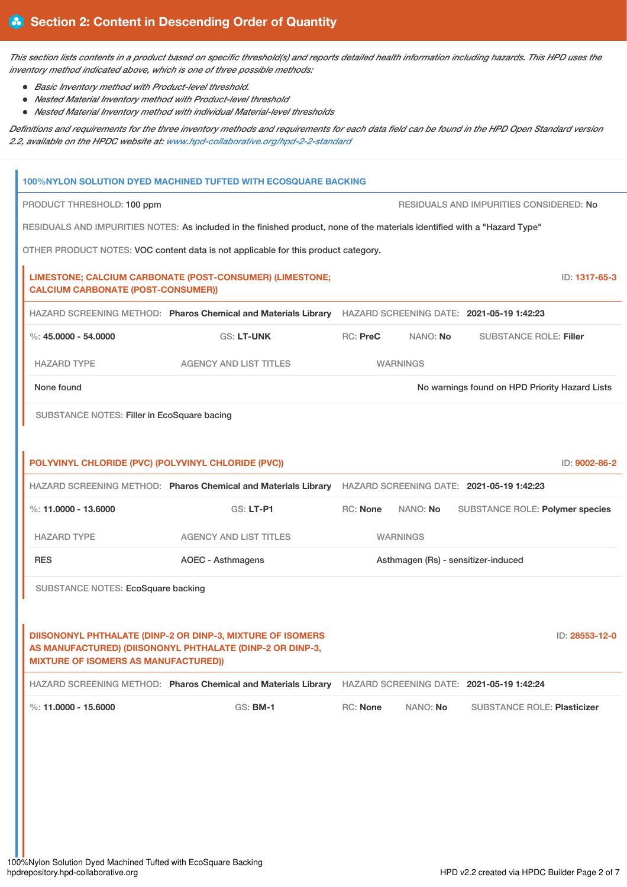This section lists contents in a product based on specific threshold(s) and reports detailed health information including hazards. This HPD uses the *inventory method indicated above, which is one of three possible methods:*

- *Basic Inventory method with Product-level threshold.*
- *Nested Material Inventory method with Product-level threshold*
- *Nested Material Inventory method with individual Material-level thresholds*

Definitions and requirements for the three inventory methods and requirements for each data field can be found in the HPD Open Standard version *2.2, available on the HPDC website at: [www.hpd-collaborative.org/hpd-2-2-standard](https://www.hpd-collaborative.org/hpd-2-2-standard)*

| 100%NYLON SOLUTION DYED MACHINED TUFTED WITH ECOSQUARE BACKING                                                             |                                                                                                                         |                                     |                 |                                                |                |
|----------------------------------------------------------------------------------------------------------------------------|-------------------------------------------------------------------------------------------------------------------------|-------------------------------------|-----------------|------------------------------------------------|----------------|
| PRODUCT THRESHOLD: 100 ppm<br>RESIDUALS AND IMPURITIES CONSIDERED: No                                                      |                                                                                                                         |                                     |                 |                                                |                |
| RESIDUALS AND IMPURITIES NOTES: As included in the finished product, none of the materials identified with a "Hazard Type" |                                                                                                                         |                                     |                 |                                                |                |
| OTHER PRODUCT NOTES: VOC content data is not applicable for this product category.                                         |                                                                                                                         |                                     |                 |                                                |                |
| <b>CALCIUM CARBONATE (POST-CONSUMER))</b>                                                                                  | LIMESTONE; CALCIUM CARBONATE (POST-CONSUMER) (LIMESTONE;                                                                |                                     |                 |                                                | ID: 1317-65-3  |
|                                                                                                                            | HAZARD SCREENING METHOD: Pharos Chemical and Materials Library HAZARD SCREENING DATE: 2021-05-19 1:42:23                |                                     |                 |                                                |                |
| %: $45,0000 - 54,0000$                                                                                                     | <b>GS: LT-UNK</b>                                                                                                       | RC: PreC                            | NANO: No        | <b>SUBSTANCE ROLE: Filler</b>                  |                |
| <b>HAZARD TYPE</b>                                                                                                         | <b>AGENCY AND LIST TITLES</b>                                                                                           |                                     | <b>WARNINGS</b> |                                                |                |
| None found                                                                                                                 |                                                                                                                         |                                     |                 | No warnings found on HPD Priority Hazard Lists |                |
| SUBSTANCE NOTES: Filler in EcoSquare bacing                                                                                |                                                                                                                         |                                     |                 |                                                |                |
|                                                                                                                            |                                                                                                                         |                                     |                 |                                                |                |
| POLYVINYL CHLORIDE (PVC) (POLYVINYL CHLORIDE (PVC))                                                                        |                                                                                                                         |                                     |                 |                                                | ID: 9002-86-2  |
|                                                                                                                            | HAZARD SCREENING METHOD: Pharos Chemical and Materials Library                                                          |                                     |                 | HAZARD SCREENING DATE: 2021-05-19 1:42:23      |                |
| %: $11,0000 - 13,6000$                                                                                                     | GS: LT-P1                                                                                                               | <b>RC: None</b>                     | NANO: No        | SUBSTANCE ROLE: Polymer species                |                |
| <b>HAZARD TYPE</b>                                                                                                         | <b>AGENCY AND LIST TITLES</b>                                                                                           |                                     | <b>WARNINGS</b> |                                                |                |
| <b>RES</b>                                                                                                                 | <b>AOEC - Asthmagens</b>                                                                                                | Asthmagen (Rs) - sensitizer-induced |                 |                                                |                |
| SUBSTANCE NOTES: EcoSquare backing                                                                                         |                                                                                                                         |                                     |                 |                                                |                |
|                                                                                                                            |                                                                                                                         |                                     |                 |                                                |                |
| <b>MIXTURE OF ISOMERS AS MANUFACTURED))</b>                                                                                | DIISONONYL PHTHALATE (DINP-2 OR DINP-3, MIXTURE OF ISOMERS<br>AS MANUFACTURED) (DIISONONYL PHTHALATE (DINP-2 OR DINP-3, |                                     |                 |                                                | ID: 28553-12-0 |
|                                                                                                                            | HAZARD SCREENING METHOD: Pharos Chemical and Materials Library                                                          |                                     |                 | HAZARD SCREENING DATE: 2021-05-19 1:42:24      |                |
| %: $11.0000 - 15.6000$                                                                                                     | GS: <b>BM-1</b>                                                                                                         | RC: None                            | NANO: No        | <b>SUBSTANCE ROLE: Plasticizer</b>             |                |
|                                                                                                                            |                                                                                                                         |                                     |                 |                                                |                |
|                                                                                                                            |                                                                                                                         |                                     |                 |                                                |                |
|                                                                                                                            |                                                                                                                         |                                     |                 |                                                |                |
|                                                                                                                            |                                                                                                                         |                                     |                 |                                                |                |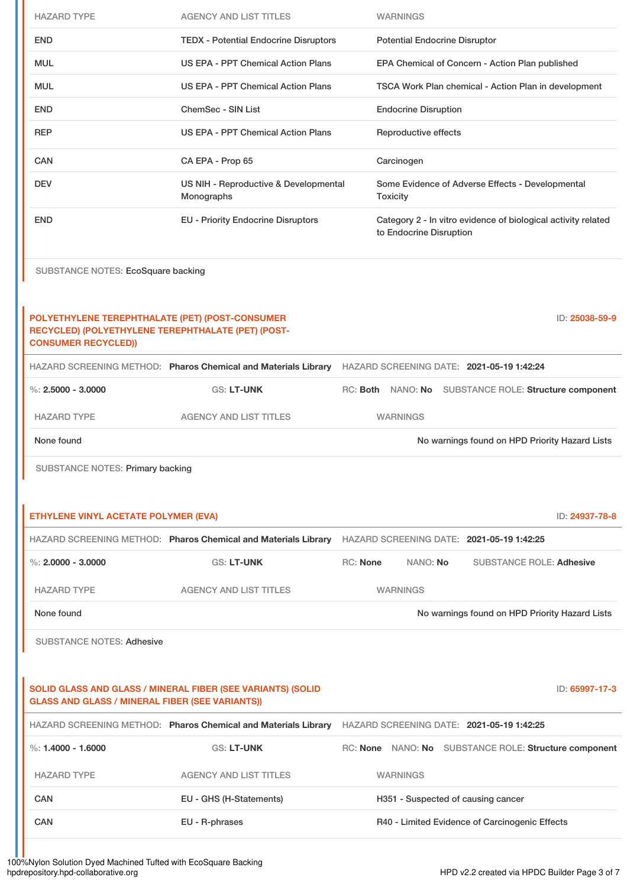| <b>HAZARD TYPE</b>                                                                                                                  | <b>AGENCY AND LIST TITLES</b>                                  | <b>WARNINGS</b>                                                                          |
|-------------------------------------------------------------------------------------------------------------------------------------|----------------------------------------------------------------|------------------------------------------------------------------------------------------|
| <b>END</b>                                                                                                                          | <b>TEDX - Potential Endocrine Disruptors</b>                   | <b>Potential Endocrine Disruptor</b>                                                     |
| <b>MUL</b>                                                                                                                          | US EPA - PPT Chemical Action Plans                             | EPA Chemical of Concern - Action Plan published                                          |
| <b>MUL</b>                                                                                                                          | <b>US EPA - PPT Chemical Action Plans</b>                      | TSCA Work Plan chemical - Action Plan in development                                     |
| <b>END</b>                                                                                                                          | <b>ChemSec - SIN List</b>                                      | <b>Endocrine Disruption</b>                                                              |
| <b>REP</b>                                                                                                                          | US EPA - PPT Chemical Action Plans                             | Reproductive effects                                                                     |
| <b>CAN</b>                                                                                                                          | CA EPA - Prop 65                                               | Carcinogen                                                                               |
| <b>DEV</b>                                                                                                                          | US NIH - Reproductive & Developmental<br>Monographs            | Some Evidence of Adverse Effects - Developmental<br><b>Toxicity</b>                      |
| <b>END</b>                                                                                                                          | <b>EU - Priority Endocrine Disruptors</b>                      | Category 2 - In vitro evidence of biological activity related<br>to Endocrine Disruption |
| SUBSTANCE NOTES: EcoSquare backing                                                                                                  |                                                                |                                                                                          |
| POLYETHYLENE TEREPHTHALATE (PET) (POST-CONSUMER<br>RECYCLED) (POLYETHYLENE TEREPHTHALATE (PET) (POST-<br><b>CONSUMER RECYCLED))</b> |                                                                | ID: 25038-59-9                                                                           |
|                                                                                                                                     | HAZARD SCREENING METHOD: Pharos Chemical and Materials Library | HAZARD SCREENING DATE: 2021-05-19 1:42:24                                                |
| %: $2,5000 - 3,0000$                                                                                                                | <b>GS: LT-UNK</b>                                              | RC: Both NANO: No SUBSTANCE ROLE: Structure component                                    |
| <b>HAZARD TYPE</b>                                                                                                                  | <b>AGENCY AND LIST TITLES</b>                                  | <b>WARNINGS</b>                                                                          |
| None found                                                                                                                          |                                                                | No warnings found on HPD Priority Hazard Lists                                           |
| SUBSTANCE NOTES: Primary backing                                                                                                    |                                                                |                                                                                          |
|                                                                                                                                     |                                                                |                                                                                          |
| ETHYLENE VINYL ACETATE POLYMER (EVA)                                                                                                |                                                                | ID: 24937-78-8                                                                           |
|                                                                                                                                     | HAZARD SCREENING METHOD: Pharos Chemical and Materials Library | HAZARD SCREENING DATE: 2021-05-19 1:42:25                                                |
| %: $2,0000 - 3,0000$                                                                                                                | <b>GS: LT-UNK</b>                                              | <b>RC: None</b><br>NANO: No<br><b>SUBSTANCE ROLE: Adhesive</b>                           |
| <b>HAZARD TYPE</b>                                                                                                                  | <b>AGENCY AND LIST TITLES</b>                                  | <b>WARNINGS</b>                                                                          |
| None found                                                                                                                          |                                                                | No warnings found on HPD Priority Hazard Lists                                           |
| <b>SUBSTANCE NOTES: Adhesive</b>                                                                                                    |                                                                |                                                                                          |
|                                                                                                                                     |                                                                |                                                                                          |
| <b>GLASS AND GLASS / MINERAL FIBER (SEE VARIANTS))</b>                                                                              | SOLID GLASS AND GLASS / MINERAL FIBER (SEE VARIANTS) (SOLID    | ID: 65997-17-3                                                                           |
|                                                                                                                                     | HAZARD SCREENING METHOD: Pharos Chemical and Materials Library | HAZARD SCREENING DATE: 2021-05-19 1:42:25                                                |
| %: $1.4000 - 1.6000$                                                                                                                | <b>GS: LT-UNK</b>                                              | RC: None NANO: No SUBSTANCE ROLE: Structure component                                    |
| <b>HAZARD TYPE</b>                                                                                                                  | <b>AGENCY AND LIST TITLES</b>                                  | <b>WARNINGS</b>                                                                          |
| <b>CAN</b>                                                                                                                          | EU - GHS (H-Statements)                                        | H351 - Suspected of causing cancer                                                       |
| <b>CAN</b>                                                                                                                          | EU - R-phrases                                                 | R40 - Limited Evidence of Carcinogenic Effects                                           |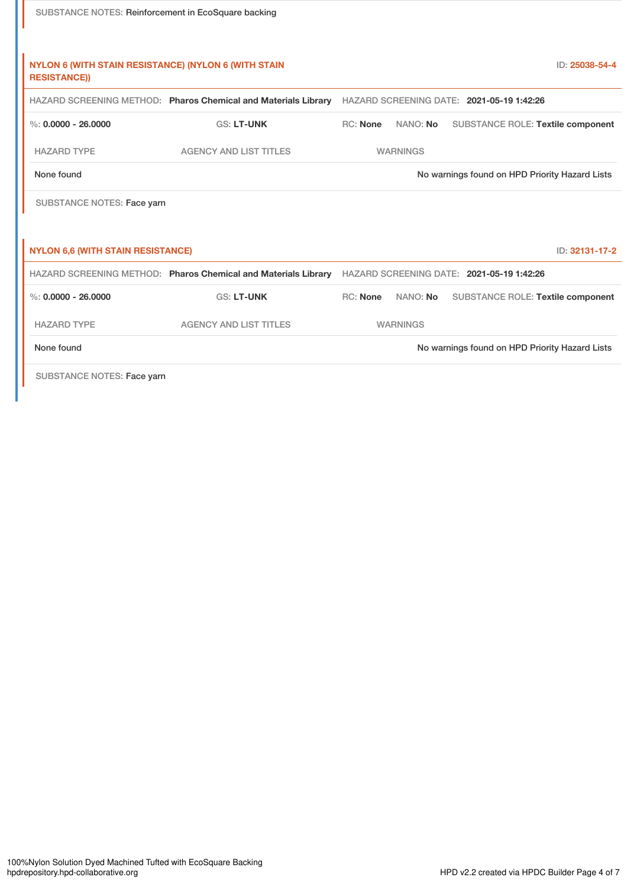| SUBSTANCE NOTES: Reinforcement in EcoSquare backing                                |                                                                |                 |                 |                                                |
|------------------------------------------------------------------------------------|----------------------------------------------------------------|-----------------|-----------------|------------------------------------------------|
| <b>NYLON 6 (WITH STAIN RESISTANCE) (NYLON 6 (WITH STAIN</b><br><b>RESISTANCE))</b> |                                                                |                 |                 | ID: 25038-54-4                                 |
|                                                                                    | HAZARD SCREENING METHOD: Pharos Chemical and Materials Library |                 |                 | HAZARD SCREENING DATE: 2021-05-19 1:42:26      |
| %: $0.0000 - 26.0000$                                                              | <b>GS: LT-UNK</b>                                              | <b>RC: None</b> | NANO: No        | <b>SUBSTANCE ROLE: Textile component</b>       |
| <b>HAZARD TYPE</b>                                                                 | <b>AGENCY AND LIST TITLES</b>                                  |                 | <b>WARNINGS</b> |                                                |
| None found                                                                         |                                                                |                 |                 | No warnings found on HPD Priority Hazard Lists |
| <b>SUBSTANCE NOTES: Face yarn</b>                                                  |                                                                |                 |                 |                                                |
| <b>NYLON 6,6 (WITH STAIN RESISTANCE)</b>                                           |                                                                |                 |                 | ID: 32131-17-2                                 |
|                                                                                    | HAZARD SCREENING METHOD: Pharos Chemical and Materials Library |                 |                 | HAZARD SCREENING DATE: 2021-05-19 1:42:26      |
| $\%$ : 0.0000 - 26.0000                                                            | <b>GS: LT-UNK</b>                                              | RC: None        | NANO: No        | SUBSTANCE ROLE: Textile component              |
| <b>HAZARD TYPE</b>                                                                 | <b>AGENCY AND LIST TITLES</b>                                  |                 | <b>WARNINGS</b> |                                                |
| None found                                                                         |                                                                |                 |                 | No warnings found on HPD Priority Hazard Lists |
| SUBSTANCE NOTES: Face yarn                                                         |                                                                |                 |                 |                                                |

ı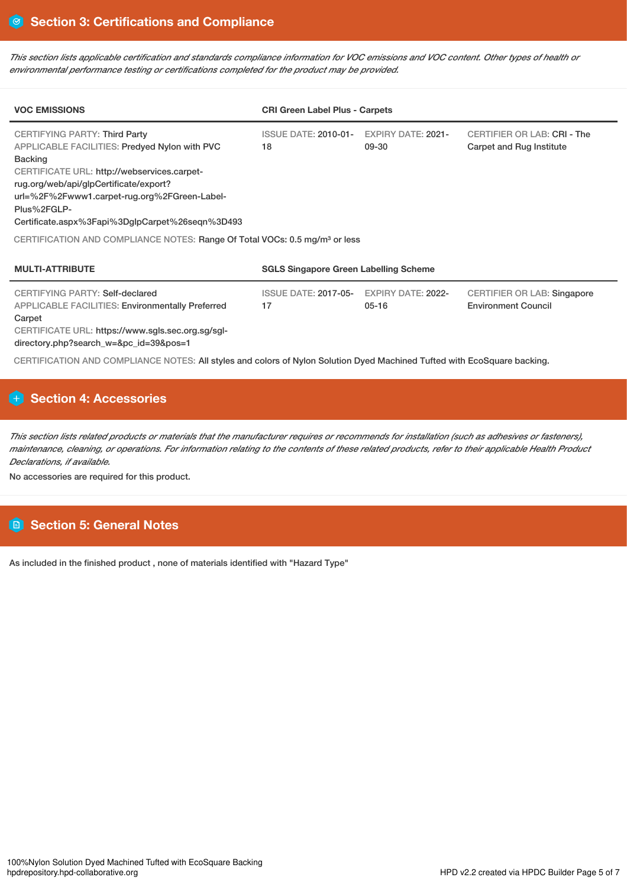This section lists applicable certification and standards compliance information for VOC emissions and VOC content. Other types of health or *environmental performance testing or certifications completed for the product may be provided.*

| <b>VOC EMISSIONS</b>                                                                                                                                                                                                                                                                                                      | <b>CRI Green Label Plus - Carpets</b>        |                                        |                                                                  |
|---------------------------------------------------------------------------------------------------------------------------------------------------------------------------------------------------------------------------------------------------------------------------------------------------------------------------|----------------------------------------------|----------------------------------------|------------------------------------------------------------------|
| <b>CERTIFYING PARTY: Third Party</b><br><b>APPLICABLE FACILITIES: Predyed Nylon with PVC</b><br><b>Backing</b><br>CERTIFICATE URL: http://webservices.carpet-<br>rug.org/web/api/glpCertificate/export?<br>url=%2F%2Fwww1.carpet-rug.org%2FGreen-Label-<br>Plus%2FGLP-<br>Certificate.aspx%3Fapi%3DglpCarpet%26seqn%3D493 | <b>ISSUE DATE: 2010-01-</b><br>18            | <b>EXPIRY DATE: 2021-</b><br>09-30     | CERTIFIER OR LAB: CRI - The<br>Carpet and Rug Institute          |
| CERTIFICATION AND COMPLIANCE NOTES: Range Of Total VOCs: 0.5 mg/m <sup>3</sup> or less                                                                                                                                                                                                                                    |                                              |                                        |                                                                  |
| <b>MULTI-ATTRIBUTE</b>                                                                                                                                                                                                                                                                                                    | <b>SGLS Singapore Green Labelling Scheme</b> |                                        |                                                                  |
| <b>CERTIFYING PARTY: Self-declared</b><br><b>APPLICABLE FACILITIES: Environmentally Preferred</b>                                                                                                                                                                                                                         | <b>ISSUE DATE: 2017-05-</b><br>17            | <b>EXPIRY DATE: 2022-</b><br>$05 - 16$ | <b>CERTIFIER OR LAB: Singapore</b><br><b>Environment Council</b> |

Carpet CERTIFICATE URL: https://www.sgls.sec.org.sg/sgl-

directory.php?search\_w=&pc\_id=39&pos=1

CERTIFICATION AND COMPLIANCE NOTES: All styles and colors of Nylon Solution Dyed Machined Tufted with EcoSquare backing.

# **Section 4: Accessories**

This section lists related products or materials that the manufacturer requires or recommends for installation (such as adhesives or fasteners), maintenance, cleaning, or operations. For information relating to the contents of these related products, refer to their applicable Health Product *Declarations, if available.*

No accessories are required for this product.

# **Section 5: General Notes**

As included in the finished product , none of materials identified with "Hazard Type"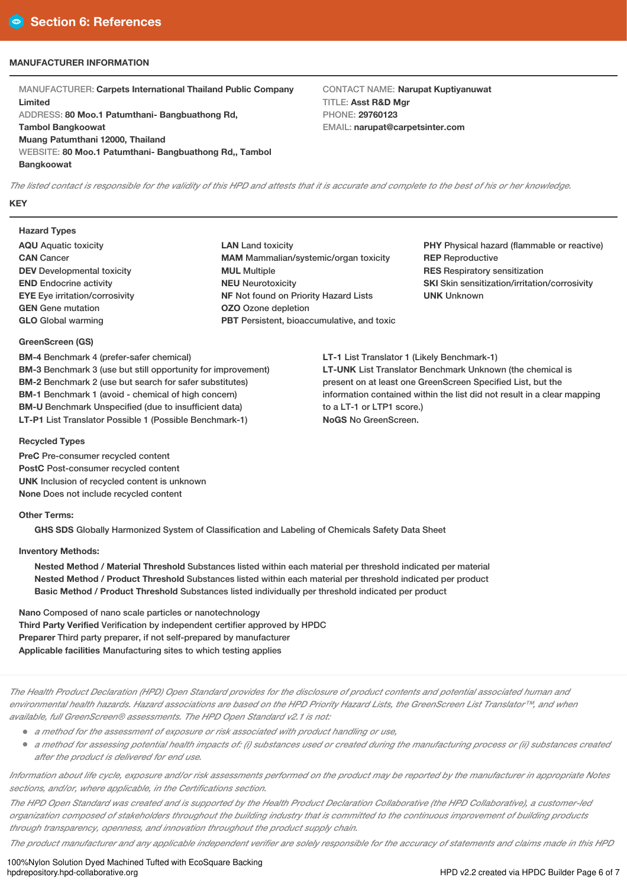# **MANUFACTURER INFORMATION**

MANUFACTURER: **Carpets International Thailand Public Company Limited** ADDRESS: **80 Moo.1 Patumthani- Bangbuathong Rd, Tambol Bangkoowat Muang Patumthani 12000, Thailand** WEBSITE: **80 Moo.1 Patumthani- Bangbuathong Rd,, Tambol Bangkoowat**

CONTACT NAME: **Narupat Kuptiyanuwat** TITLE: **Asst R&D Mgr** PHONE: **29760123** EMAIL: **narupat@carpetsinter.com**

The listed contact is responsible for the validity of this HPD and attests that it is accurate and complete to the best of his or her knowledge. **KEY**

# **Hazard Types**

- **AQU** Aquatic toxicity **CAN** Cancer **DEV** Developmental toxicity **END** Endocrine activity **EYE** Eye irritation/corrosivity **GEN** Gene mutation **GLO** Global warming
- **LAN** Land toxicity **MAM** Mammalian/systemic/organ toxicity **MUL** Multiple **NEU** Neurotoxicity **NF** Not found on Priority Hazard Lists **OZO** Ozone depletion **PBT** Persistent, bioaccumulative, and toxic

**PHY** Physical hazard (flammable or reactive) **REP** Reproductive **RES** Respiratory sensitization **SKI** Skin sensitization/irritation/corrosivity **UNK** Unknown

**LT-1** List Translator 1 (Likely Benchmark-1) **LT-UNK** List Translator Benchmark Unknown (the chemical is present on at least one GreenScreen Specified List, but the information contained within the list did not result in a clear mapping to a LT-1 or LTP1 score.) **NoGS** No GreenScreen.

#### **GreenScreen (GS)**

**BM-4** Benchmark 4 (prefer-safer chemical) **BM-3** Benchmark 3 (use but still opportunity for improvement) **BM-2** Benchmark 2 (use but search for safer substitutes) **BM-1** Benchmark 1 (avoid - chemical of high concern) **BM-U** Benchmark Unspecified (due to insufficient data) **LT-P1** List Translator Possible 1 (Possible Benchmark-1)

#### **Recycled Types**

**PreC** Pre-consumer recycled content **PostC** Post-consumer recycled content **UNK** Inclusion of recycled content is unknown **None** Does not include recycled content

## **Other Terms:**

**GHS SDS** Globally Harmonized System of Classification and Labeling of Chemicals Safety Data Sheet

### **Inventory Methods:**

**Nested Method / Material Threshold** Substances listed within each material per threshold indicated per material **Nested Method / Product Threshold** Substances listed within each material per threshold indicated per product **Basic Method / Product Threshold** Substances listed individually per threshold indicated per product

**Nano** Composed of nano scale particles or nanotechnology **Third Party Verified** Verification by independent certifier approved by HPDC **Preparer** Third party preparer, if not self-prepared by manufacturer **Applicable facilities** Manufacturing sites to which testing applies

The Health Product Declaration (HPD) Open Standard provides for the disclosure of product contents and potential associated human and environmental health hazards. Hazard associations are based on the HPD Priority Hazard Lists, the GreenScreen List Translator™, and when *available, full GreenScreen® assessments. The HPD Open Standard v2.1 is not:*

- *<sup>a</sup> method for the assessment of exposure or risk associated with product handling or use,*
- a method for assessing potential health impacts of: (i) substances used or created during the manufacturing process or (ii) substances created *after the product is delivered for end use.*

Information about life cycle, exposure and/or risk assessments performed on the product may be reported by the manufacturer in appropriate Notes *sections, and/or, where applicable, in the Certifications section.*

The HPD Open Standard was created and is supported by the Health Product Declaration Collaborative (the HPD Collaborative), a customer-led organization composed of stakeholders throughout the building industry that is committed to the continuous improvement of building products *through transparency, openness, and innovation throughout the product supply chain.*

The product manufacturer and any applicable independent verifier are solely responsible for the accuracy of statements and claims made in this HPD

100%Nylon Solution Dyed Machined Tufted with EcoSquare Backing